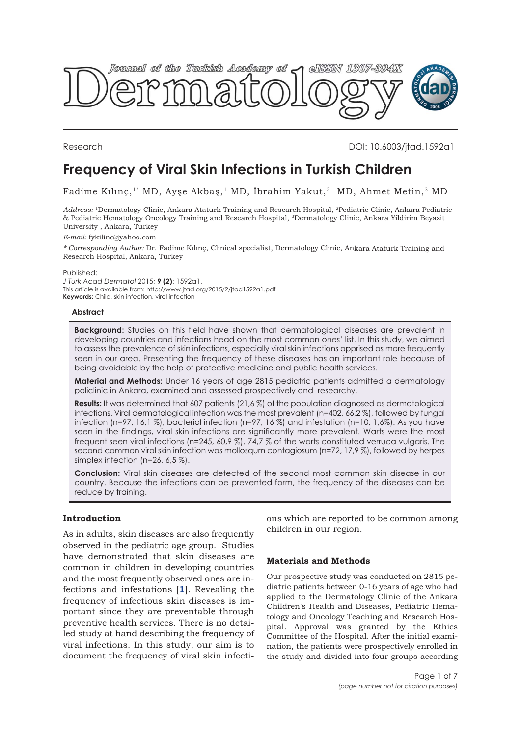

Research DOI: 10.6003/jtad.1592a1

# **Frequency of Viral Skin Infections in Turkish Children**

Fadime Kılınç,<sup>1\*</sup> MD, Ayşe Akbaş,<sup>1</sup> MD, İbrahim Yakut,<sup>2</sup> MD, Ahmet Metin,<sup>3</sup> MD

*Address:* <sup>1</sup>Dermatology Clinic, Ankara Ataturk Training and Research Hospital, <sup>2</sup>Pediatric Clinic, Ankara Pediatric & Pediatric Hematology Oncology Training and Research Hospital, <sup>3</sup>Dermatology Clinic, Ankara Yildirim Beyazit University , Ankara, Turkey

*E-mail:* fykilinc@yahoo.com

*\* Corresponding Author:* Dr. Fadime Kılınç, Clinical specialist, Dermatology Clinic, Ankara Ataturk Training and Research Hospital, Ankara, Turkey

Published:

*J Turk Acad Dermatol* 2015; **9 (2)**: 1592a1. This article is available from: http://www.jtad.org/2015/2/jtad1592a1.pdf **Keywords:** Child, skin infection, viral infection

## **Abstract**

**Background:** Studies on this field have shown that dermatological diseases are prevalent in developing countries and infections head on the most common ones' list. In this study, we aimed to assess the prevalence of skin infections, especially viral skin infections apprised as more frequently seen in our area. Presenting the frequency of these diseases has an important role because of being avoidable by the help of protective medicine and public health services.

**Material and Methods:** Under 16 years of age 2815 pediatric patients admitted a dermatology policlinic in Ankara, examined and assessed prospectively and researchy.

**Results:** It was determined that 607 patients (21,6 %) of the population diagnosed as dermatological infections. Viral dermatological infection was the most prevalent (n=402, 66,2 %), followed by fungal infection (n=97, 16,1 %), bacterial infection (n=97, 16 %) and infestation (n=10, 1,6%). As you have seen in the findings, viral skin infections are significantly more prevalent. Warts were the most frequent seen viral infections (n=245, 60,9 %). 74,7 % of the warts constituted verruca vulgaris. The second common viral skin infection was mollosqum contagiosum (n=72, 17,9 %), followed by herpes simplex infection (n=26, 6,5 %).

**Conclusion:** Viral skin diseases are detected of the second most common skin disease in our country. Because the infections can be prevented form, the frequency of the diseases can be reduce by training.

# **Introduction**

As in adults, skin diseases are also frequently observed in the pediatric age group. Studies have demonstrated that skin diseases are common in children in developing countries and the most frequently observed ones are infections and infestations [**[1](#page-6-0)**]. Revealing the frequency of infectious skin diseases is important since they are preventable through preventive health services. There is no detailed study at hand describing the frequency of viral infections. In this study, our aim is to document the frequency of viral skin infections which are reported to be common among children in our region.

# **Materials and Methods**

Our prospective study was conducted on 2815 pediatric patients between 0-16 years of age who had applied to the Dermatology Clinic of the Ankara Children's Health and Diseases, Pediatric Hematology and Oncology Teaching and Research Hospital. Approval was granted by the Ethics Committee of the Hospital. After the initial examination, the patients were prospectively enrolled in the study and divided into four groups according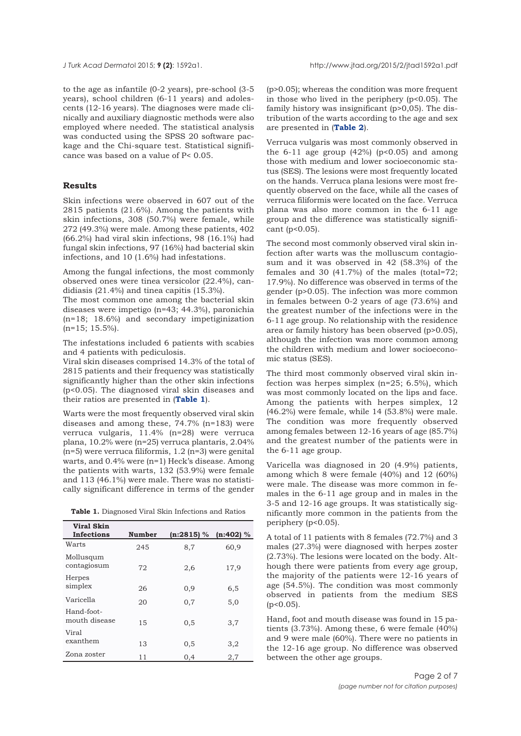to the age as infantile (0-2 years), pre-school (3-5 years), school children (6-11 years) and adolescents (12-16 years). The diagnoses were made clinically and auxiliary diagnostic methods were also employed where needed. The statistical analysis was conducted using the SPSS 20 software package and the Chi-square test. Statistical significance was based on a value of P< 0.05.

## **Results**

Skin infections were observed in 607 out of the 2815 patients (21.6%). Among the patients with skin infections, 308 (50.7%) were female, while 272 (49.3%) were male. Among these patients, 402 (66.2%) had viral skin infections, 98 (16.1%) had fungal skin infections, 97 (16%) had bacterial skin infections, and 10 (1.6%) had infestations.

Among the fungal infections, the most commonly observed ones were tinea versicolor (22.4%), candidiasis (21.4%) and tinea capitis (15.3%).

The most common one among the bacterial skin diseases were impetigo (n=43; 44.3%), paronichia (n=18; 18.6%) and secondary impetiginization (n=15; 15.5%).

The infestations included 6 patients with scabies and 4 patients with pediculosis.

Viral skin diseases comprised 14.3% of the total of 2815 patients and their frequency was statistically significantly higher than the other skin infections (p<0.05). The diagnosed viral skin diseases and their ratios are presented in (**Table 1**).

Warts were the most frequently observed viral skin diseases and among these, 74.7% (n=183) were verruca vulgaris, 11.4% (n=28) were verruca plana, 10.2% were (n=25) verruca plantaris, 2.04%  $(n=5)$  were verruca filiformis, 1.2  $(n=3)$  were genital warts, and 0.4% were (n=1) Heck's disease. Among the patients with warts, 132 (53.9%) were female and 113 (46.1%) were male. There was no statistically significant difference in terms of the gender

|  |  |  | Table 1. Diagnosed Viral Skin Infections and Ratios |  |  |  |  |  |
|--|--|--|-----------------------------------------------------|--|--|--|--|--|
|--|--|--|-----------------------------------------------------|--|--|--|--|--|

| Viral Skin<br><b>Infections</b> | Number | $(n:2815)$ % | $(n:402)$ % |
|---------------------------------|--------|--------------|-------------|
| Warts                           | 245    | 8,7          | 60,9        |
| Mollusqum<br>contagiosum        | 72     | 2,6          | 17,9        |
| Herpes<br>simplex               | 26     | 0,9          | 6,5         |
| Varicella                       | 20     | 0,7          | 5,0         |
| Hand-foot-<br>mouth disease     | 1.5    | 0,5          | 3,7         |
| Viral<br>exanthem               | 13     | 0,5          | 3,2         |
| Zona zoster                     | 11     | 0,4          | 2,7         |

(p>0.05); whereas the condition was more frequent in those who lived in the periphery  $(p<0.05)$ . The family history was insignificant (p>0,05). The distribution of the warts according to the age and sex are presented in (**[Table 2](#page-2-0)**).

Verruca vulgaris was most commonly observed in the 6-11 age group  $(42\%)$  (p<0.05) and among those with medium and lower socioeconomic status (SES). The lesions were most frequently located on the hands. Verruca plana lesions were most frequently observed on the face, while all the cases of verruca filiformis were located on the face. Verruca plana was also more common in the 6-11 age group and the difference was statistically significant (p<0.05).

The second most commonly observed viral skin infection after warts was the molluscum contagiosum and it was observed in 42 (58.3%) of the females and 30 (41.7%) of the males (total=72; 17.9%). No difference was observed in terms of the gender (p>0.05). The infection was more common in females between 0-2 years of age (73.6%) and the greatest number of the infections were in the 6-11 age group. No relationship with the residence area or family history has been observed (p>0.05), although the infection was more common among the children with medium and lower socioeconomic status (SES).

The third most commonly observed viral skin infection was herpes simplex (n=25; 6.5%), which was most commonly located on the lips and face. Among the patients with herpes simplex, 12 (46.2%) were female, while 14 (53.8%) were male. The condition was more frequently observed among females between 12-16 years of age (85.7%) and the greatest number of the patients were in the 6-11 age group.

Varicella was diagnosed in 20 (4.9%) patients, among which 8 were female (40%) and 12 (60%) were male. The disease was more common in females in the 6-11 age group and in males in the 3-5 and 12-16 age groups. It was statistically significantly more common in the patients from the periphery (p<0.05).

A total of 11 patients with 8 females (72.7%) and 3 males (27.3%) were diagnosed with herpes zoster (2.73%). The lesions were located on the body. Although there were patients from every age group, the majority of the patients were 12-16 years of age (54.5%). The condition was most commonly observed in patients from the medium SES (p<0.05).

Hand, foot and mouth disease was found in 15 patients (3.73%). Among these, 6 were female (40%) and 9 were male (60%). There were no patients in the 12-16 age group. No difference was observed between the other age groups.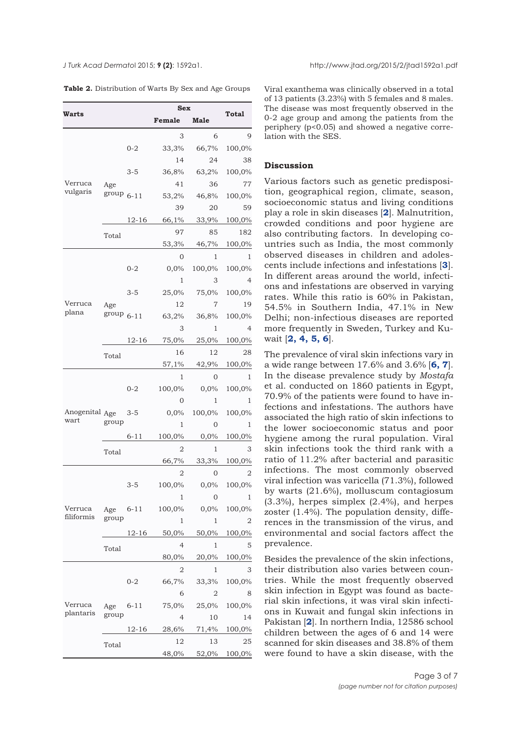<span id="page-2-0"></span>

**Table 2.** Distribution of Warts By Sex and Age Groups

| Warts                  |                |           | <b>Sex</b>     | Total   |        |
|------------------------|----------------|-----------|----------------|---------|--------|
|                        |                |           | Female         | Male    |        |
|                        |                |           | 3              | 6       | 9      |
|                        |                | $0 - 2$   | 33,3%          | 66,7%   | 100,0% |
|                        |                |           | 14             | 24      | 38     |
|                        |                | 3-5       | 36,8%          | 63,2%   | 100,0% |
| Verruca                | Age            |           | 41             | 36      | 77     |
| vulgaris               | $group_{6-11}$ |           | 53,2%          | 46,8%   | 100,0% |
|                        |                |           | 39             | 20      | 59     |
|                        |                | 12-16     | 66,1%          | 33,9%   | 100,0% |
|                        | Total          |           | 97             | 85      | 182    |
|                        |                |           | 53,3%          | 46,7%   | 100,0% |
|                        |                |           | 0              | 1       | 1      |
|                        |                | $0 - 2$   | 0,0%           | 100,0%  | 100,0% |
|                        |                |           | 1              | З       | 4      |
|                        |                | $3 - 5$   | 25,0%          | 75,0%   | 100,0% |
| Verruca                | Age            |           | 12             | 7       | 19     |
| plana                  | $group_{6-11}$ |           | 63,2%          | 36,8%   | 100,0% |
|                        |                |           | 3              | 1       | 4      |
|                        |                | 12-16     | 75,0%          | 25,0%   | 100,0% |
|                        | Total          |           | 16             | 12      | 28     |
|                        |                |           | 57,1%          | 42,9%   | 100,0% |
|                        |                |           | 1              | 0       | 1      |
|                        |                | $0 - 2$   | 100,0%         | $0,0\%$ | 100,0% |
|                        |                |           | 0              | 1       | 1      |
| Anogenital Age<br>wart |                | $3 - 5$   | 0,0%           | 100,0%  | 100,0% |
|                        | group          |           | 1              | 0       | 1      |
|                        |                | 6-11      | 100,0%         | $0,0\%$ | 100,0% |
|                        | Total          |           | 2              | 1       | 3      |
|                        |                |           | 66,7%          | 33,3%   | 100,0% |
|                        |                |           | 2              | 0       | 2      |
|                        |                | 3-5       | 100,0%         | $0.0\%$ | 100,0% |
|                        |                |           | T              | Ü       | 1      |
| Verruca<br>filiformis  | Age<br>group   | 6-11      | 100,0%         | 0,0%    | 100,0% |
|                        |                |           | 1              | 1       | 2      |
|                        |                | 12-16     | 50,0%          | 50,0%   | 100,0% |
|                        | Total          |           | 4              | 1       | 5      |
|                        |                |           | 80,0%          | 20,0%   | 100,0% |
|                        |                |           | 2              | 1       | 3      |
|                        |                | $0 - 2$   | 66,7%          | 33,3%   | 100,0% |
|                        |                |           | 6              | 2       | 8      |
| Verruca<br>plantaris   | Age<br>group   | 6-11      | 75,0%          | 25,0%   | 100,0% |
|                        |                |           | $\overline{4}$ | 10      | 14     |
|                        |                | $12 - 16$ | 28,6%          | 71,4%   | 100,0% |
|                        | Total          |           | 12             | 13      | 25     |
|                        |                |           | 48,0%          | 52,0%   | 100,0% |

Viral exanthema was clinically observed in a total of 13 patients (3.23%) with 5 females and 8 males. The disease was most frequently observed in the 0-2 age group and among the patients from the periphery (p<0.05) and showed a negative correlation with the SES.

# **Discussion**

Various factors such as genetic predisposition, geographical region, climate, season, socioeconomic status and living conditions play a role in skin diseases [**[2](#page-6-0)**]. Malnutrition, crowded conditions and poor hygiene are also contributing factors. In developing countries such as India, the most commonly observed diseases in children and adolescents include infections and infestations [**[3](#page-6-0)**]. In different areas around the world, infections and infestations are observed in varying rates. While this ratio is 60% in Pakistan, 54.5% in Southern India, 47.1% in New Delhi; non-infectious diseases are reported more frequently in Sweden, Turkey and Kuwait [**[2, 4,](#page-6-0) [5, 6](#page-6-0)**].

The prevalence of viral skin infections vary in a wide range between 17.6% and 3.6% [**[6, 7](#page-6-0)**]. In the disease prevalence study by *Mostafa* et al. conducted on 1860 patients in Egypt, 70.9% of the patients were found to have infections and infestations. The authors have associated the high ratio of skin infections to the lower socioeconomic status and poor hygiene among the rural population. Viral skin infections took the third rank with a ratio of 11.2% after bacterial and parasitic infections. The most commonly observed viral infection was varicella (71.3%), followed by warts (21.6%), molluscum contagiosum (3.3%), herpes simplex (2.4%), and herpes zoster (1.4%). The population density, differences in the transmission of the virus, and environmental and social factors affect the prevalence.

Besides the prevalence of the skin infections, their distribution also varies between countries. While the most frequently observed skin infection in Egypt was found as bacterial skin infections, it was viral skin infections in Kuwait and fungal skin infections in Pakistan [**[2](#page-6-0)**]. In northern India, 12586 school children between the ages of 6 and 14 were scanned for skin diseases and 38.8% of them were found to have a skin disease, with the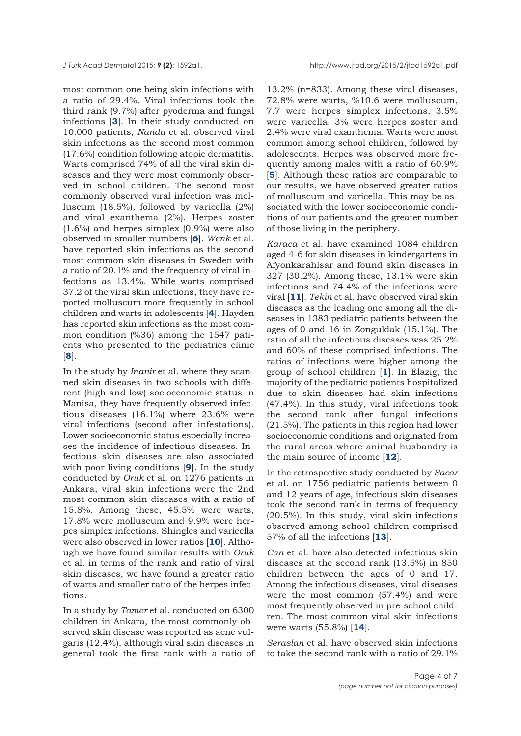most common one being skin infections with a ratio of 29.4%. Viral infections took the third rank (9.7%) after pyoderma and fungal infections [**[3](#page-6-0)**]. In their study conducted on 10.000 patients, *Nanda* et al. observed viral skin infections as the second most common (17.6%) condition following atopic dermatitis. Warts comprised 74% of all the viral skin diseases and they were most commonly observed in school children. The second most commonly observed viral infection was molluscum (18.5%), followed by varicella (2%) and viral exanthema (2%). Herpes zoster (1.6%) and herpes simplex (0.9%) were also observed in smaller numbers [**[6](#page-6-0)**]. *Wenk* et al. have reported skin infections as the second most common skin diseases in Sweden with a ratio of 20.1% and the frequency of viral infections as 13.4%. While warts comprised 37.2 of the viral skin infections, they have reported molluscum more frequently in school children and warts in adolescents [**[4](#page-6-0)**]. Hayden has reported skin infections as the most common condition (%36) among the 1547 patients who presented to the pediatrics clinic [**[8](#page-6-0)**].

In the study by *Inanir* et al. where they scanned skin diseases in two schools with different (high and low) socioeconomic status in Manisa, they have frequently observed infectious diseases (16.1%) where 23.6% were viral infections (second after infestations). Lower socioeconomic status especially increases the incidence of infectious diseases. Infectious skin diseases are also associated with poor living conditions [**[9](#page-6-0)**]. In the study conducted by *Oruk* et al. on 1276 patients in Ankara, viral skin infections were the 2nd most common skin diseases with a ratio of 15.8%. Among these, 45.5% were warts, 17.8% were molluscum and 9.9% were herpes simplex infections. Shingles and varicella were also observed in lower ratios [**[10](#page-6-0)**]. Although we have found similar results with *Oruk* et al. in terms of the rank and ratio of viral skin diseases, we have found a greater ratio of warts and smaller ratio of the herpes infections.

In a study by *Tamer* et al. conducted on 6300 children in Ankara, the most commonly observed skin disease was reported as acne vulgaris (12.4%), although viral skin diseases in general took the first rank with a ratio of

13.2% (n=833). Among these viral diseases, 72.8% were warts, %10.6 were molluscum, 7.7 were herpes simplex infections, 3.5% were varicella, 3% were herpes zoster and 2.4% were viral exanthema. Warts were most common among school children, followed by adolescents. Herpes was observed more frequently among males with a ratio of 60.9% [**[5](#page-6-0)**]. Although these ratios are comparable to our results, we have observed greater ratios of molluscum and varicella. This may be associated with the lower socioeconomic conditions of our patients and the greater number of those living in the periphery.

*Karaca* et al. have examined 1084 children aged 4-6 for skin diseases in kindergartens in Afyonkarahisar and found skin diseases in 327 (30.2%). Among these, 13.1% were skin infections and 74.4% of the infections were viral [**[11](#page-6-0)**]. *Tekin* et al. have observed viral skin diseases as the leading one among all the diseases in 1383 pediatric patients between the ages of 0 and 16 in Zonguldak (15.1%). The ratio of all the infectious diseases was 25.2% and 60% of these comprised infections. The ratios of infections were higher among the group of school children [**[1](#page-6-0)**]. In Elazig, the majority of the pediatric patients hospitalized due to skin diseases had skin infections (47.4%). In this study, viral infections took the second rank after fungal infections (21.5%). The patients in this region had lower socioeconomic conditions and originated from the rural areas where animal husbandry is the main source of income [**[12](#page-6-0)**].

In the retrospective study conducted by *Sacar* et al. on 1756 pediatric patients between 0 and 12 years of age, infectious skin diseases took the second rank in terms of frequency (20.5%). In this study, viral skin infections observed among school children comprised 57% of all the infections [**[13](#page-6-0)**].

*Can* et al. have also detected infectious skin diseases at the second rank (13.5%) in 850 children between the ages of 0 and 17. Among the infectious diseases, viral diseases were the most common (57.4%) and were most frequently observed in pre-school children. The most common viral skin infections were warts (55.8%) [**[14](#page-6-0)**].

*Seraslan* et al. have observed skin infections to take the second rank with a ratio of 29.1%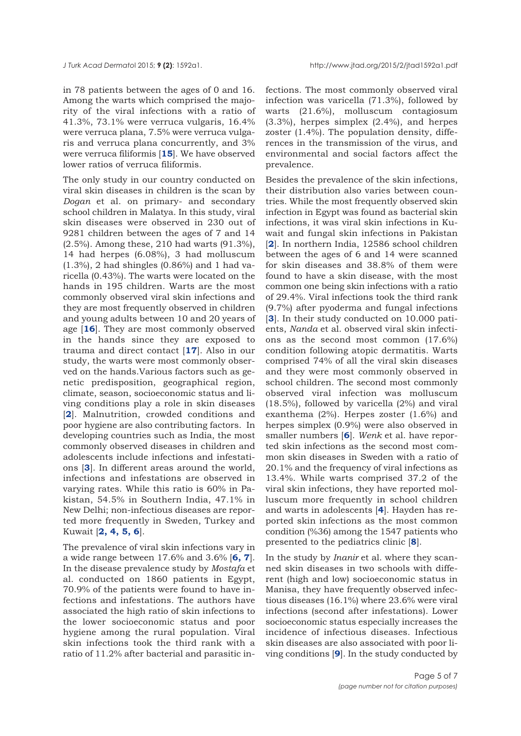in 78 patients between the ages of 0 and 16. Among the warts which comprised the majority of the viral infections with a ratio of 41.3%, 73.1% were verruca vulgaris, 16.4% were verruca plana, 7.5% were verruca vulgaris and verruca plana concurrently, and 3% were verruca filiformis [**[15](#page-6-0)**]. We have observed lower ratios of verruca filiformis.

The only study in our country conducted on viral skin diseases in children is the scan by *Dogan* et al. on primary- and secondary school children in Malatya. In this study, viral skin diseases were observed in 230 out of 9281 children between the ages of 7 and 14 (2.5%). Among these, 210 had warts (91.3%), 14 had herpes (6.08%), 3 had molluscum (1.3%), 2 had shingles (0.86%) and 1 had varicella (0.43%). The warts were located on the hands in 195 children. Warts are the most commonly observed viral skin infections and they are most frequently observed in children and young adults between 10 and 20 years of age [**[16](#page-6-0)**]. They are most commonly observed in the hands since they are exposed to trauma and direct contact [**[17](#page-6-0)**]. Also in our study, the warts were most commonly observed on the hands.Various factors such as genetic predisposition, geographical region, climate, season, socioeconomic status and living conditions play a role in skin diseases [**[2](#page-6-0)**]. Malnutrition, crowded conditions and poor hygiene are also contributing factors. In developing countries such as India, the most commonly observed diseases in children and adolescents include infections and infestations [**[3](#page-6-0)**]. In different areas around the world, infections and infestations are observed in varying rates. While this ratio is 60% in Pakistan, 54.5% in Southern India, 47.1% in New Delhi; non-infectious diseases are reported more frequently in Sweden, Turkey and Kuwait [**[2, 4, 5,](#page-6-0) [6](#page-6-0)**].

The prevalence of viral skin infections vary in a wide range between 17.6% and 3.6% [**[6, 7](#page-6-0)**]. In the disease prevalence study by *Mostafa* et al. conducted on 1860 patients in Egypt, 70.9% of the patients were found to have infections and infestations. The authors have associated the high ratio of skin infections to the lower socioeconomic status and poor hygiene among the rural population. Viral skin infections took the third rank with a ratio of 11.2% after bacterial and parasitic infections. The most commonly observed viral infection was varicella (71.3%), followed by warts (21.6%), molluscum contagiosum (3.3%), herpes simplex (2.4%), and herpes zoster (1.4%). The population density, differences in the transmission of the virus, and environmental and social factors affect the prevalence.

Besides the prevalence of the skin infections, their distribution also varies between countries. While the most frequently observed skin infection in Egypt was found as bacterial skin infections, it was viral skin infections in Kuwait and fungal skin infections in Pakistan [**[2](#page-6-0)**]. In northern India, 12586 school children between the ages of 6 and 14 were scanned for skin diseases and 38.8% of them were found to have a skin disease, with the most common one being skin infections with a ratio of 29.4%. Viral infections took the third rank (9.7%) after pyoderma and fungal infections [**[3](#page-6-0)**]. In their study conducted on 10.000 patients, *Nanda* et al. observed viral skin infections as the second most common (17.6%) condition following atopic dermatitis. Warts comprised 74% of all the viral skin diseases and they were most commonly observed in school children. The second most commonly observed viral infection was molluscum (18.5%), followed by varicella (2%) and viral exanthema (2%). Herpes zoster (1.6%) and herpes simplex (0.9%) were also observed in smaller numbers [**[6](#page-6-0)**]. *Wenk* et al. have reported skin infections as the second most common skin diseases in Sweden with a ratio of 20.1% and the frequency of viral infections as 13.4%. While warts comprised 37.2 of the viral skin infections, they have reported molluscum more frequently in school children and warts in adolescents [**[4](#page-6-0)**]. Hayden has reported skin infections as the most common condition (%36) among the 1547 patients who presented to the pediatrics clinic [**[8](#page-6-0)**].

In the study by *Inanir* et al. where they scanned skin diseases in two schools with different (high and low) socioeconomic status in Manisa, they have frequently observed infectious diseases (16.1%) where 23.6% were viral infections (second after infestations). Lower socioeconomic status especially increases the incidence of infectious diseases. Infectious skin diseases are also associated with poor living conditions [**[9](#page-6-0)**]. In the study conducted by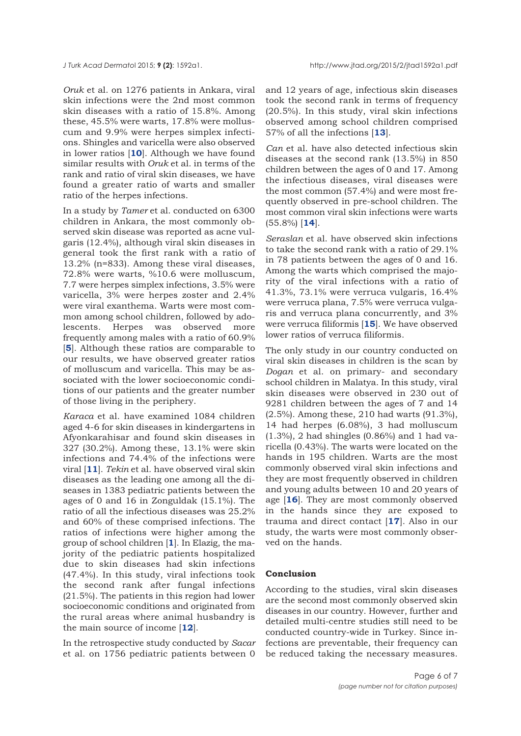*Oruk* et al. on 1276 patients in Ankara, viral skin infections were the 2nd most common skin diseases with a ratio of 15.8%. Among these, 45.5% were warts, 17.8% were molluscum and 9.9% were herpes simplex infections. Shingles and varicella were also observed in lower ratios [**[10](#page-6-0)**]. Although we have found similar results with *Oruk* et al. in terms of the rank and ratio of viral skin diseases, we have found a greater ratio of warts and smaller ratio of the herpes infections.

In a study by *Tamer* et al. conducted on 6300 children in Ankara, the most commonly observed skin disease was reported as acne vulgaris (12.4%), although viral skin diseases in general took the first rank with a ratio of 13.2% (n=833). Among these viral diseases, 72.8% were warts, %10.6 were molluscum, 7.7 were herpes simplex infections, 3.5% were varicella, 3% were herpes zoster and 2.4% were viral exanthema. Warts were most common among school children, followed by adolescents. Herpes was observed more frequently among males with a ratio of 60.9% [**[5](#page-6-0)**]. Although these ratios are comparable to our results, we have observed greater ratios of molluscum and varicella. This may be associated with the lower socioeconomic conditions of our patients and the greater number of those living in the periphery.

*Karaca* et al. have examined 1084 children aged 4-6 for skin diseases in kindergartens in Afyonkarahisar and found skin diseases in 327 (30.2%). Among these, 13.1% were skin infections and 74.4% of the infections were viral [**[11](#page-6-0)**]. *Tekin* et al. have observed viral skin diseases as the leading one among all the diseases in 1383 pediatric patients between the ages of 0 and 16 in Zonguldak (15.1%). The ratio of all the infectious diseases was 25.2% and 60% of these comprised infections. The ratios of infections were higher among the group of school children [**[1](#page-6-0)**]. In Elazig, the majority of the pediatric patients hospitalized due to skin diseases had skin infections (47.4%). In this study, viral infections took the second rank after fungal infections (21.5%). The patients in this region had lower socioeconomic conditions and originated from the rural areas where animal husbandry is the main source of income [**[12](#page-6-0)**].

In the retrospective study conducted by *Sacar* et al. on 1756 pediatric patients between 0

and 12 years of age, infectious skin diseases took the second rank in terms of frequency (20.5%). In this study, viral skin infections observed among school children comprised 57% of all the infections [**[13](#page-6-0)**].

*Can* et al. have also detected infectious skin diseases at the second rank (13.5%) in 850 children between the ages of 0 and 17. Among the infectious diseases, viral diseases were the most common (57.4%) and were most frequently observed in pre-school children. The most common viral skin infections were warts (55.8%) [**[14](#page-6-0)**].

*Seraslan* et al. have observed skin infections to take the second rank with a ratio of 29.1% in 78 patients between the ages of 0 and 16. Among the warts which comprised the majority of the viral infections with a ratio of 41.3%, 73.1% were verruca vulgaris, 16.4% were verruca plana, 7.5% were verruca vulgaris and verruca plana concurrently, and 3% were verruca filiformis [**[15](#page-6-0)**]. We have observed lower ratios of verruca filiformis.

The only study in our country conducted on viral skin diseases in children is the scan by *Dogan* et al. on primary- and secondary school children in Malatya. In this study, viral skin diseases were observed in 230 out of 9281 children between the ages of 7 and 14 (2.5%). Among these, 210 had warts (91.3%), 14 had herpes (6.08%), 3 had molluscum (1.3%), 2 had shingles (0.86%) and 1 had varicella (0.43%). The warts were located on the hands in 195 children. Warts are the most commonly observed viral skin infections and they are most frequently observed in children and young adults between 10 and 20 years of age [**[16](#page-6-0)**]. They are most commonly observed in the hands since they are exposed to trauma and direct contact [**[17](#page-6-0)**]. Also in our study, the warts were most commonly observed on the hands.

## **Conclusion**

According to the studies, viral skin diseases are the second most commonly observed skin diseases in our country. However, further and detailed multi-centre studies still need to be conducted country-wide in Turkey. Since infections are preventable, their frequency can be reduced taking the necessary measures.